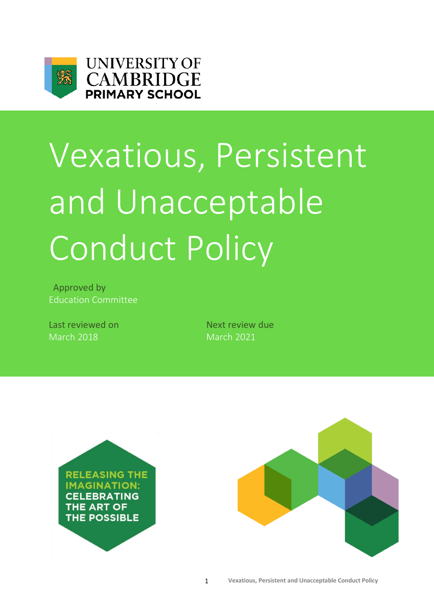



# Vexatious, Persistent and Unacceptable Conduct Policy

Approved by Education Committee

Last reviewed on Next review due March 2018 March 2021



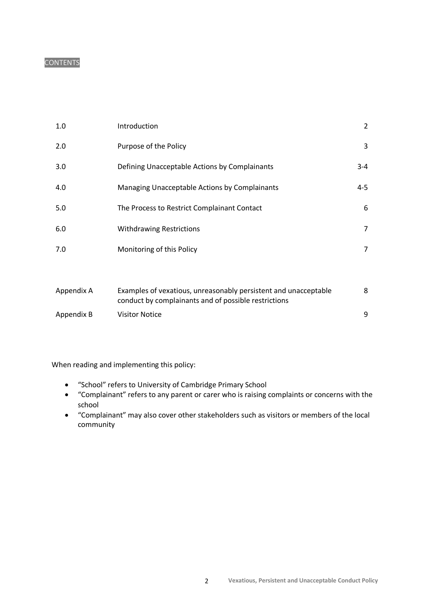## **CONTENTS**

| 1.0        | Introduction                                                    | 2       |
|------------|-----------------------------------------------------------------|---------|
| 2.0        | Purpose of the Policy                                           | 3       |
| 3.0        | Defining Unacceptable Actions by Complainants                   | $3 - 4$ |
| 4.0        | Managing Unacceptable Actions by Complainants                   | $4 - 5$ |
| 5.0        | The Process to Restrict Complainant Contact                     | 6       |
| 6.0        | <b>Withdrawing Restrictions</b>                                 | 7       |
| 7.0        | Monitoring of this Policy                                       | 7       |
|            |                                                                 |         |
| Appendix A | Examples of vexatious, unreasonably persistent and unacceptable | 8       |

| Appendix A | Examples of vexatious, unreasonably persistent and unacceptable<br>conduct by complainants and of possible restrictions |  |
|------------|-------------------------------------------------------------------------------------------------------------------------|--|
| Appendix B | Visitor Notice                                                                                                          |  |

When reading and implementing this policy:

- "School" refers to University of Cambridge Primary School
- "Complainant" refers to any parent or carer who is raising complaints or concerns with the school
- "Complainant" may also cover other stakeholders such as visitors or members of the local community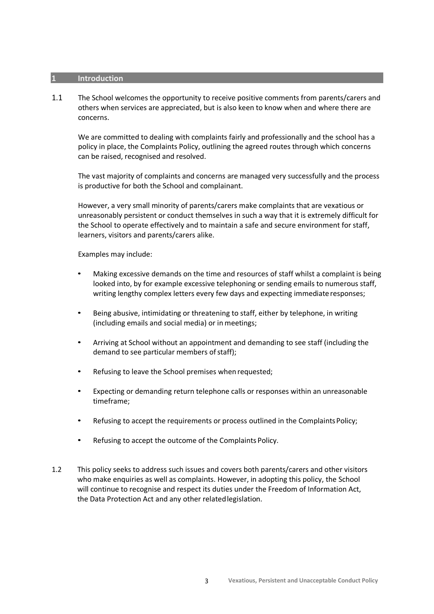#### **1 Introduction**

1.1 The School welcomes the opportunity to receive positive comments from parents/carers and others when services are appreciated, but is also keen to know when and where there are concerns.

We are committed to dealing with complaints fairly and professionally and the school has a policy in place, the Complaints Policy, outlining the agreed routes through which concerns can be raised, recognised and resolved.

The vast majority of complaints and concerns are managed very successfully and the process is productive for both the School and complainant.

However, a very small minority of parents/carers make complaints that are vexatious or unreasonably persistent or conduct themselves in such a way that it is extremely difficult for the School to operate effectively and to maintain a safe and secure environment for staff, learners, visitors and parents/carers alike.

Examples may include:

- Making excessive demands on the time and resources of staff whilst a complaint is being looked into, by for example excessive telephoning or sending emails to numerous staff, writing lengthy complex letters every few days and expecting immediate responses;
- Being abusive, intimidating or threatening to staff, either by telephone, in writing (including emails and social media) or in meetings;
- Arriving at School without an appointment and demanding to see staff (including the demand to see particular members of staff);
- Refusing to leave the School premises when requested;
- Expecting or demanding return telephone calls or responses within an unreasonable timeframe;
- Refusing to accept the requirements or process outlined in the Complaints Policy;
- Refusing to accept the outcome of the Complaints Policy.
- 1.2 This policy seeks to address such issues and covers both parents/carers and other visitors who make enquiries as well as complaints. However, in adopting this policy, the School will continue to recognise and respect its duties under the Freedom of Information Act, the Data Protection Act and any other relatedlegislation.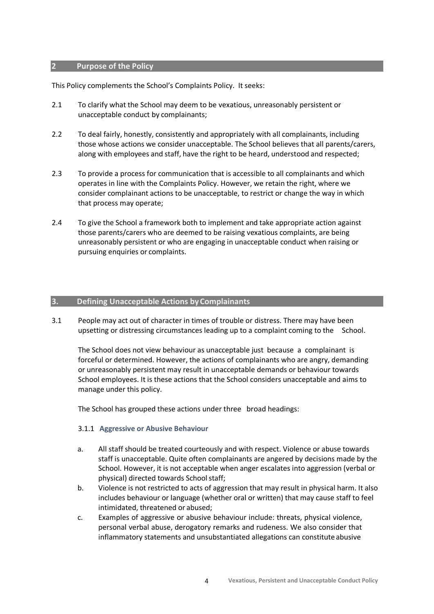#### **2 Purpose of the Policy**

This Policy complements the School's Complaints Policy. It seeks:

- 2.1 To clarify what the School may deem to be vexatious, unreasonably persistent or unacceptable conduct by complainants;
- 2.2 To deal fairly, honestly, consistently and appropriately with all complainants, including those whose actions we consider unacceptable. The School believes that all parents/carers, along with employees and staff, have the right to be heard, understood and respected;
- 2.3 To provide a process for communication that is accessible to all complainants and which operates in line with the Complaints Policy. However, we retain the right, where we consider complainant actions to be unacceptable, to restrict or change the way in which that process may operate;
- 2.4 To give the School a framework both to implement and take appropriate action against those parents/carers who are deemed to be raising vexatious complaints, are being unreasonably persistent or who are engaging in unacceptable conduct when raising or pursuing enquiries or complaints.

#### **3. Defining Unacceptable Actions byComplainants**

3.1 People may act out of character in times of trouble or distress. There may have been upsetting or distressing circumstances leading up to a complaint coming to the School.

The School does not view behaviour as unacceptable just because a complainant is forceful or determined. However, the actions of complainants who are angry, demanding or unreasonably persistent may result in unacceptable demands or behaviour towards School employees. It is these actions that the School considers unacceptable and aims to manage under this policy.

The School has grouped these actions under three broad headings:

#### 3.1.1 **Aggressive or Abusive Behaviour**

- a. All staff should be treated courteously and with respect. Violence or abuse towards staff is unacceptable. Quite often complainants are angered by decisions made by the School. However, it is not acceptable when anger escalates into aggression (verbal or physical) directed towards Schoolstaff;
- b. Violence is not restricted to acts of aggression that may result in physical harm. It also includes behaviour or language (whether oral or written) that may cause staff to feel intimidated, threatened or abused;
- c. Examples of aggressive or abusive behaviour include: threats, physical violence, personal verbal abuse, derogatory remarks and rudeness. We also consider that inflammatory statements and unsubstantiated allegations can constitute abusive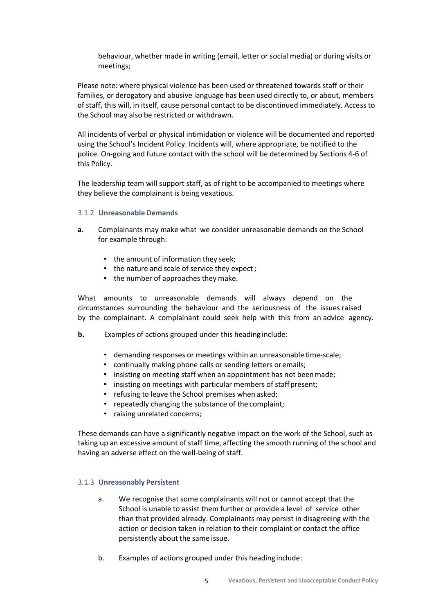behaviour, whether made in writing (email, letter or social media) or during visits or meetings;

Please note: where physical violence has been used or threatened towards staff or their families, or derogatory and abusive language has been used directly to, or about, members of staff, this will, in itself, cause personal contact to be discontinued immediately. Access to the School may also be restricted or withdrawn.

All incidents of verbal or physical intimidation or violence will be documented and reported using the School's Incident Policy. Incidents will, where appropriate, be notified to the police. On-going and future contact with the school will be determined by Sections 4-6 of this Policy.

The leadership team will support staff, as of right to be accompanied to meetings where they believe the complainant is being vexatious.

#### 3.1.2 **Unreasonable Demands**

- **a.** Complainants may make what we consider unreasonable demands on the School for example through:
	- the amount of information they seek;
	- the nature and scale of service they expect :
	- the number of approaches they make.

What amounts to unreasonable demands will always depend on the circumstances surrounding the behaviour and the seriousness of the issues raised by the complainant. A complainant could seek help with this from an advice agency.

- **b.** Examples of actions grouped under this heading include:
	- demanding responses or meetings within an unreasonable time-scale;
	- continually making phone calls or sending letters or emails;
	- insisting on meeting staff when an appointment has not beenmade;
	- insisting on meetings with particular members of staff present;
	- refusing to leave the School premises when asked;
	- repeatedly changing the substance of the complaint;
	- raising unrelated concerns;

These demands can have a significantly negative impact on the work of the School, such as taking up an excessive amount of staff time, affecting the smooth running of the school and having an adverse effect on the well-being of staff.

#### 3.1.3 **Unreasonably Persistent**

- a. We recognise that some complainants will not or cannot accept that the School is unable to assist them further or provide a level of service other than that provided already. Complainants may persist in disagreeing with the action or decision taken in relation to their complaint or contact the office persistently about the same issue.
- b. Examples of actions grouped under this heading include: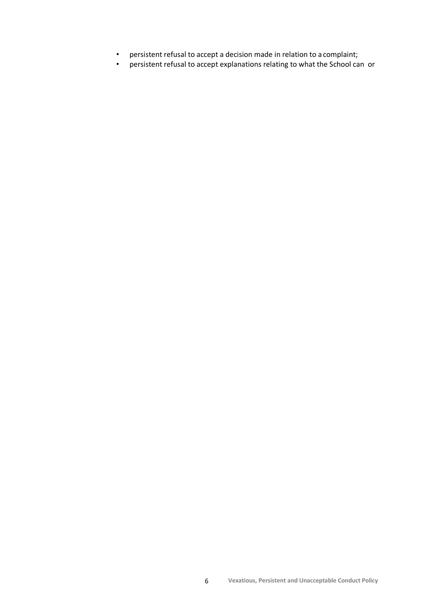- persistent refusal to accept a decision made in relation to a complaint;
- persistent refusal to accept explanations relating to what the School can or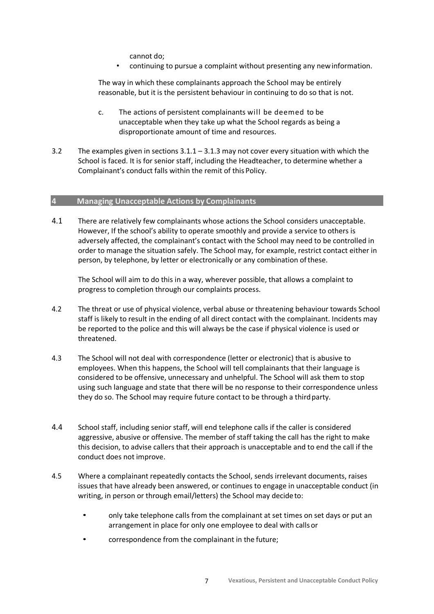cannot do;

• continuing to pursue a complaint without presenting any newinformation.

The way in which these complainants approach the School may be entirely reasonable, but it is the persistent behaviour in continuing to do so that is not.

- c. The actions of persistent complainants will be deemed to be unacceptable when they take up what the School regards as being a disproportionate amount of time and resources.
- 3.2 The examples given in sections 3.1.1 3.1.3 may not cover every situation with which the School is faced. It is for senior staff, including the Headteacher, to determine whether a Complainant's conduct falls within the remit of this Policy.

#### **4 Managing Unacceptable Actions by Complainants**

4.1 There are relatively few complainants whose actions the School considers unacceptable. However, If the school's ability to operate smoothly and provide a service to others is adversely affected, the complainant's contact with the School may need to be controlled in order to manage the situation safely. The School may, for example, restrict contact either in person, by telephone, by letter or electronically or any combination ofthese.

The School will aim to do this in a way, wherever possible, that allows a complaint to progress to completion through our complaints process.

- 4.2 The threat or use of physical violence, verbal abuse or threatening behaviour towards School staff is likely to result in the ending of all direct contact with the complainant. Incidents may be reported to the police and this will always be the case if physical violence is used or threatened.
- 4.3 The School will not deal with correspondence (letter or electronic) that is abusive to employees. When this happens, the School will tell complainants that their language is considered to be offensive, unnecessary and unhelpful. The School will ask them to stop using such language and state that there will be no response to their correspondence unless they do so. The School may require future contact to be through a thirdparty.
- 4.4 School staff, including senior staff, will end telephone calls if the caller is considered aggressive, abusive or offensive. The member of staff taking the call has the right to make this decision, to advise callers that their approach is unacceptable and to end the call if the conduct does not improve.
- 4.5 Where a complainant repeatedly contacts the School, sends irrelevant documents, raises issues that have already been answered, or continues to engage in unacceptable conduct (in writing, in person or through email/letters) the School may decide to:
	- only take telephone calls from the complainant at set times on set days or put an arrangement in place for only one employee to deal with calls or
	- correspondence from the complainant in the future;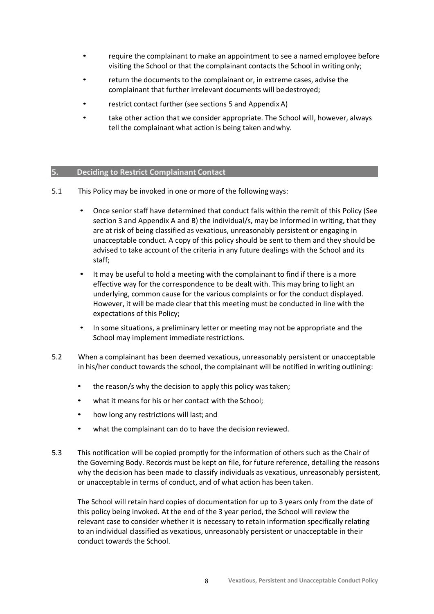- require the complainant to make an appointment to see a named employee before visiting the School or that the complainant contacts the School in writingonly;
- return the documents to the complainant or, in extreme cases, advise the complainant that further irrelevant documents will bedestroyed;
- restrict contact further (see sections 5 and Appendix A)
- take other action that we consider appropriate. The School will, however, always tell the complainant what action is being taken andwhy.

#### **5. Deciding to Restrict Complainant Contact**

- 5.1 This Policy may be invoked in one or more of the followingways:
	- Once senior staff have determined that conduct falls within the remit of this Policy (See section 3 and Appendix A and B) the individual/s, may be informed in writing, that they are at risk of being classified as vexatious, unreasonably persistent or engaging in unacceptable conduct. A copy of this policy should be sent to them and they should be advised to take account of the criteria in any future dealings with the School and its staff;
	- It may be useful to hold a meeting with the complainant to find if there is a more effective way for the correspondence to be dealt with. This may bring to light an underlying, common cause for the various complaints or for the conduct displayed. However, it will be made clear that this meeting must be conducted in line with the expectations of this Policy;
	- In some situations, a preliminary letter or meeting may not be appropriate and the School may implement immediate restrictions.
- 5.2 When a complainant has been deemed vexatious, unreasonably persistent or unacceptable in his/her conduct towards the school, the complainant will be notified in writing outlining:
	- the reason/s why the decision to apply this policy was taken;
	- what it means for his or her contact with the School;
	- how long any restrictions will last; and
	- what the complainant can do to have the decision reviewed.
- 5.3 This notification will be copied promptly for the information of others such as the Chair of the Governing Body. Records must be kept on file, for future reference, detailing the reasons why the decision has been made to classify individuals as vexatious, unreasonably persistent, or unacceptable in terms of conduct, and of what action has been taken.

The School will retain hard copies of documentation for up to 3 years only from the date of this policy being invoked. At the end of the 3 year period, the School will review the relevant case to consider whether it is necessary to retain information specifically relating to an individual classified as vexatious, unreasonably persistent or unacceptable in their conduct towards the School.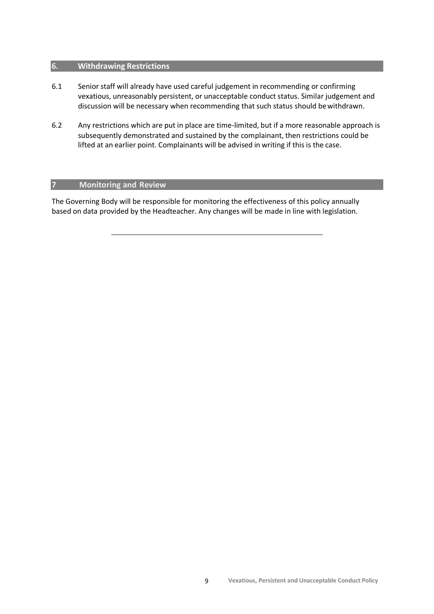#### **6. Withdrawing Restrictions**

- 6.1 Senior staff will already have used careful judgement in recommending or confirming vexatious, unreasonably persistent, or unacceptable conduct status. Similar judgement and discussion will be necessary when recommending that such status should bewithdrawn.
- 6.2 Any restrictions which are put in place are time-limited, but if a more reasonable approach is subsequently demonstrated and sustained by the complainant, then restrictions could be lifted at an earlier point. Complainants will be advised in writing if this is the case.

### **7 Monitoring and Review**

The Governing Body will be responsible for monitoring the effectiveness of this policy annually based on data provided by the Headteacher. Any changes will be made in line with legislation.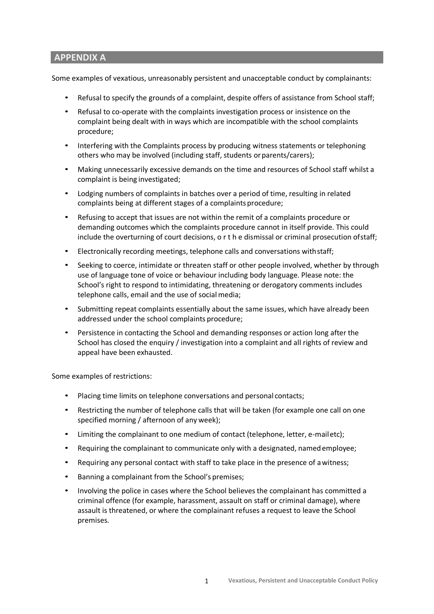# **APPENDIX A**

Some examples of vexatious, unreasonably persistent and unacceptable conduct by complainants:

- Refusal to specify the grounds of a complaint, despite offers of assistance from School staff;
- Refusal to co-operate with the complaints investigation process or insistence on the complaint being dealt with in ways which are incompatible with the school complaints procedure;
- Interfering with the Complaints process by producing witness statements or telephoning others who may be involved (including staff, students orparents/carers);
- Making unnecessarily excessive demands on the time and resources of School staff whilst a complaint is being investigated;
- Lodging numbers of complaints in batches over a period of time, resulting in related complaints being at different stages of a complaints procedure;
- Refusing to accept that issues are not within the remit of a complaints procedure or demanding outcomes which the complaints procedure cannot in itself provide. This could include the overturning of court decisions, o r t h e dismissal or criminal prosecution ofstaff;
- Electronically recording meetings, telephone calls and conversations withstaff;
- Seeking to coerce, intimidate or threaten staff or other people involved, whether by through use of language tone of voice or behaviour including body language. Please note: the School's right to respond to intimidating, threatening or derogatory comments includes telephone calls, email and the use of social media;
- Submitting repeat complaints essentially about the same issues, which have already been addressed under the school complaints procedure;
- Persistence in contacting the School and demanding responses or action long after the School has closed the enquiry / investigation into a complaint and all rights of review and appeal have been exhausted.

Some examples of restrictions:

- Placing time limits on telephone conversations and personal contacts;
- Restricting the number of telephone calls that will be taken (for example one call on one specified morning / afternoon of any week);
- Limiting the complainant to one medium of contact (telephone, letter, e-mailetc);
- Requiring the complainant to communicate only with a designated, namedemployee;
- Requiring any personal contact with staff to take place in the presence of awitness;
- Banning a complainant from the School's premises;
- Involving the police in cases where the School believes the complainant has committed a criminal offence (for example, harassment, assault on staff or criminal damage), where assault is threatened, or where the complainant refuses a request to leave the School premises.